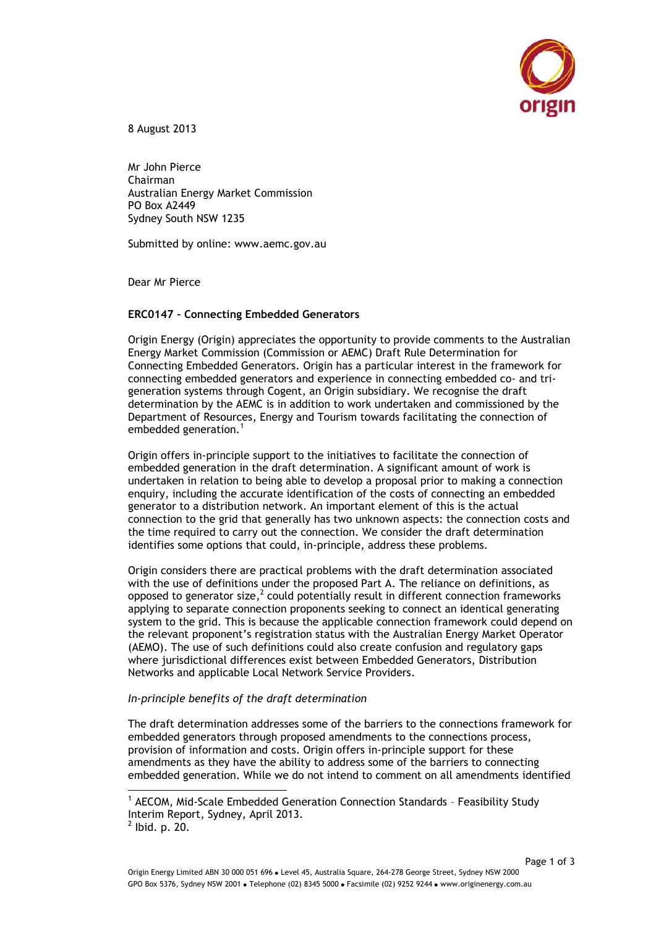

8 August 2013

Mr John Pierce Chairman Australian Energy Market Commission PO Box A2449 Sydney South NSW 1235

Submitted by online: www.aemc.gov.au

Dear Mr Pierce

## **ERC0147 – Connecting Embedded Generators**

Origin Energy (Origin) appreciates the opportunity to provide comments to the Australian Energy Market Commission (Commission or AEMC) Draft Rule Determination for Connecting Embedded Generators. Origin has a particular interest in the framework for connecting embedded generators and experience in connecting embedded co- and trigeneration systems through Cogent, an Origin subsidiary. We recognise the draft determination by the AEMC is in addition to work undertaken and commissioned by the Department of Resources, Energy and Tourism towards facilitating the connection of embedded generation. $<sup>1</sup>$ </sup>

Origin offers in-principle support to the initiatives to facilitate the connection of embedded generation in the draft determination. A significant amount of work is undertaken in relation to being able to develop a proposal prior to making a connection enquiry, including the accurate identification of the costs of connecting an embedded generator to a distribution network. An important element of this is the actual connection to the grid that generally has two unknown aspects: the connection costs and the time required to carry out the connection. We consider the draft determination identifies some options that could, in-principle, address these problems.

Origin considers there are practical problems with the draft determination associated with the use of definitions under the proposed Part A. The reliance on definitions, as opposed to generator size, $^2$  could potentially result in different connection frameworks applying to separate connection proponents seeking to connect an identical generating system to the grid. This is because the applicable connection framework could depend on the relevant proponent's registration status with the Australian Energy Market Operator (AEMO). The use of such definitions could also create confusion and regulatory gaps where jurisdictional differences exist between Embedded Generators, Distribution Networks and applicable Local Network Service Providers.

## *In-principle benefits of the draft determination*

The draft determination addresses some of the barriers to the connections framework for embedded generators through proposed amendments to the connections process, provision of information and costs. Origin offers in-principle support for these amendments as they have the ability to address some of the barriers to connecting embedded generation. While we do not intend to comment on all amendments identified

-

<sup>&</sup>lt;sup>1</sup> AECOM, Mid-Scale Embedded Generation Connection Standards - Feasibility Study Interim Report, Sydney, April 2013.

 $<sup>2</sup>$  lbid. p. 20.</sup>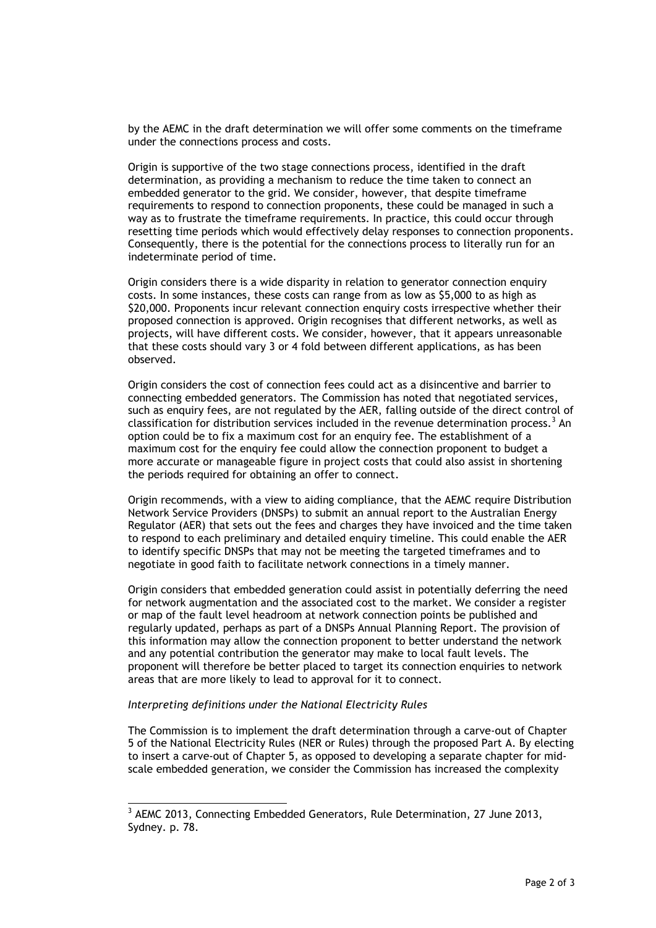by the AEMC in the draft determination we will offer some comments on the timeframe under the connections process and costs.

Origin is supportive of the two stage connections process, identified in the draft determination, as providing a mechanism to reduce the time taken to connect an embedded generator to the grid. We consider, however, that despite timeframe requirements to respond to connection proponents, these could be managed in such a way as to frustrate the timeframe requirements. In practice, this could occur through resetting time periods which would effectively delay responses to connection proponents. Consequently, there is the potential for the connections process to literally run for an indeterminate period of time.

Origin considers there is a wide disparity in relation to generator connection enquiry costs. In some instances, these costs can range from as low as \$5,000 to as high as \$20,000. Proponents incur relevant connection enquiry costs irrespective whether their proposed connection is approved. Origin recognises that different networks, as well as projects, will have different costs. We consider, however, that it appears unreasonable that these costs should vary 3 or 4 fold between different applications, as has been observed.

Origin considers the cost of connection fees could act as a disincentive and barrier to connecting embedded generators. The Commission has noted that negotiated services, such as enquiry fees, are not regulated by the AER, falling outside of the direct control of classification for distribution services included in the revenue determination process.<sup>3</sup> An option could be to fix a maximum cost for an enquiry fee. The establishment of a maximum cost for the enquiry fee could allow the connection proponent to budget a more accurate or manageable figure in project costs that could also assist in shortening the periods required for obtaining an offer to connect.

Origin recommends, with a view to aiding compliance, that the AEMC require Distribution Network Service Providers (DNSPs) to submit an annual report to the Australian Energy Regulator (AER) that sets out the fees and charges they have invoiced and the time taken to respond to each preliminary and detailed enquiry timeline. This could enable the AER to identify specific DNSPs that may not be meeting the targeted timeframes and to negotiate in good faith to facilitate network connections in a timely manner.

Origin considers that embedded generation could assist in potentially deferring the need for network augmentation and the associated cost to the market. We consider a register or map of the fault level headroom at network connection points be published and regularly updated, perhaps as part of a DNSPs Annual Planning Report. The provision of this information may allow the connection proponent to better understand the network and any potential contribution the generator may make to local fault levels. The proponent will therefore be better placed to target its connection enquiries to network areas that are more likely to lead to approval for it to connect.

## *Interpreting definitions under the National Electricity Rules*

-

The Commission is to implement the draft determination through a carve-out of Chapter 5 of the National Electricity Rules (NER or Rules) through the proposed Part A. By electing to insert a carve-out of Chapter 5, as opposed to developing a separate chapter for midscale embedded generation, we consider the Commission has increased the complexity

<sup>&</sup>lt;sup>3</sup> AEMC 2013, Connecting Embedded Generators, Rule Determination, 27 June 2013, Sydney. p. 78.